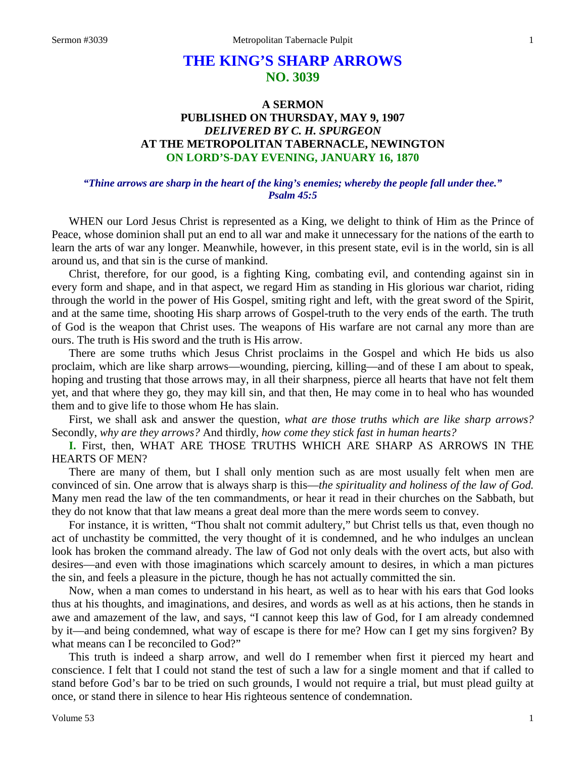# **THE KING'S SHARP ARROWS NO. 3039**

# **A SERMON PUBLISHED ON THURSDAY, MAY 9, 1907** *DELIVERED BY C. H. SPURGEON* **AT THE METROPOLITAN TABERNACLE, NEWINGTON ON LORD'S-DAY EVENING, JANUARY 16, 1870**

#### *"Thine arrows are sharp in the heart of the king's enemies; whereby the people fall under thee." Psalm 45:5*

WHEN our Lord Jesus Christ is represented as a King, we delight to think of Him as the Prince of Peace, whose dominion shall put an end to all war and make it unnecessary for the nations of the earth to learn the arts of war any longer. Meanwhile, however, in this present state, evil is in the world, sin is all around us, and that sin is the curse of mankind.

Christ, therefore, for our good, is a fighting King, combating evil, and contending against sin in every form and shape, and in that aspect, we regard Him as standing in His glorious war chariot, riding through the world in the power of His Gospel, smiting right and left, with the great sword of the Spirit, and at the same time, shooting His sharp arrows of Gospel-truth to the very ends of the earth. The truth of God is the weapon that Christ uses. The weapons of His warfare are not carnal any more than are ours. The truth is His sword and the truth is His arrow.

There are some truths which Jesus Christ proclaims in the Gospel and which He bids us also proclaim, which are like sharp arrows—wounding, piercing, killing—and of these I am about to speak, hoping and trusting that those arrows may, in all their sharpness, pierce all hearts that have not felt them yet, and that where they go, they may kill sin, and that then, He may come in to heal who has wounded them and to give life to those whom He has slain.

First, we shall ask and answer the question, *what are those truths which are like sharp arrows?*  Secondly, *why are they arrows?* And thirdly, *how come they stick fast in human hearts?*

**I.** First, then, WHAT ARE THOSE TRUTHS WHICH ARE SHARP AS ARROWS IN THE HEARTS OF MEN?

There are many of them, but I shall only mention such as are most usually felt when men are convinced of sin. One arrow that is always sharp is this—*the spirituality and holiness of the law of God.*  Many men read the law of the ten commandments, or hear it read in their churches on the Sabbath, but they do not know that that law means a great deal more than the mere words seem to convey.

For instance, it is written, "Thou shalt not commit adultery," but Christ tells us that, even though no act of unchastity be committed, the very thought of it is condemned, and he who indulges an unclean look has broken the command already. The law of God not only deals with the overt acts, but also with desires—and even with those imaginations which scarcely amount to desires, in which a man pictures the sin, and feels a pleasure in the picture, though he has not actually committed the sin.

Now, when a man comes to understand in his heart, as well as to hear with his ears that God looks thus at his thoughts, and imaginations, and desires, and words as well as at his actions, then he stands in awe and amazement of the law, and says, "I cannot keep this law of God, for I am already condemned by it—and being condemned, what way of escape is there for me? How can I get my sins forgiven? By what means can I be reconciled to God?"

This truth is indeed a sharp arrow, and well do I remember when first it pierced my heart and conscience. I felt that I could not stand the test of such a law for a single moment and that if called to stand before God's bar to be tried on such grounds, I would not require a trial, but must plead guilty at once, or stand there in silence to hear His righteous sentence of condemnation.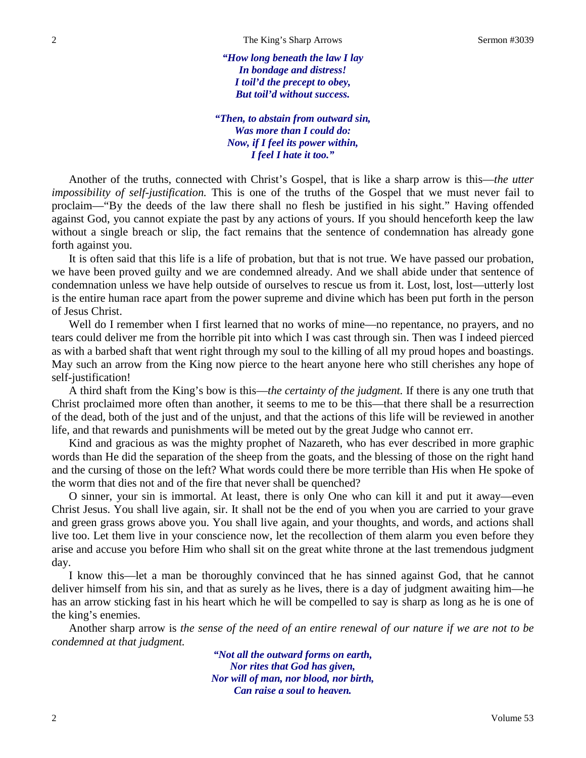*"How long beneath the law I lay In bondage and distress! I toil'd the precept to obey, But toil'd without success.*

*"Then, to abstain from outward sin, Was more than I could do: Now, if I feel its power within, I feel I hate it too."*

Another of the truths, connected with Christ's Gospel, that is like a sharp arrow is this—*the utter impossibility of self-justification.* This is one of the truths of the Gospel that we must never fail to proclaim—"By the deeds of the law there shall no flesh be justified in his sight." Having offended against God, you cannot expiate the past by any actions of yours. If you should henceforth keep the law without a single breach or slip, the fact remains that the sentence of condemnation has already gone forth against you.

It is often said that this life is a life of probation, but that is not true. We have passed our probation, we have been proved guilty and we are condemned already. And we shall abide under that sentence of condemnation unless we have help outside of ourselves to rescue us from it. Lost, lost, lost—utterly lost is the entire human race apart from the power supreme and divine which has been put forth in the person of Jesus Christ.

Well do I remember when I first learned that no works of mine—no repentance, no prayers, and no tears could deliver me from the horrible pit into which I was cast through sin. Then was I indeed pierced as with a barbed shaft that went right through my soul to the killing of all my proud hopes and boastings. May such an arrow from the King now pierce to the heart anyone here who still cherishes any hope of self-justification!

A third shaft from the King's bow is this—*the certainty of the judgment.* If there is any one truth that Christ proclaimed more often than another, it seems to me to be this—that there shall be a resurrection of the dead, both of the just and of the unjust, and that the actions of this life will be reviewed in another life, and that rewards and punishments will be meted out by the great Judge who cannot err.

Kind and gracious as was the mighty prophet of Nazareth, who has ever described in more graphic words than He did the separation of the sheep from the goats, and the blessing of those on the right hand and the cursing of those on the left? What words could there be more terrible than His when He spoke of the worm that dies not and of the fire that never shall be quenched?

O sinner, your sin is immortal. At least, there is only One who can kill it and put it away—even Christ Jesus. You shall live again, sir. It shall not be the end of you when you are carried to your grave and green grass grows above you. You shall live again, and your thoughts, and words, and actions shall live too. Let them live in your conscience now, let the recollection of them alarm you even before they arise and accuse you before Him who shall sit on the great white throne at the last tremendous judgment day.

I know this—let a man be thoroughly convinced that he has sinned against God, that he cannot deliver himself from his sin, and that as surely as he lives, there is a day of judgment awaiting him—he has an arrow sticking fast in his heart which he will be compelled to say is sharp as long as he is one of the king's enemies.

Another sharp arrow is *the sense of the need of an entire renewal of our nature if we are not to be condemned at that judgment.*

> *"Not all the outward forms on earth, Nor rites that God has given, Nor will of man, nor blood, nor birth, Can raise a soul to heaven.*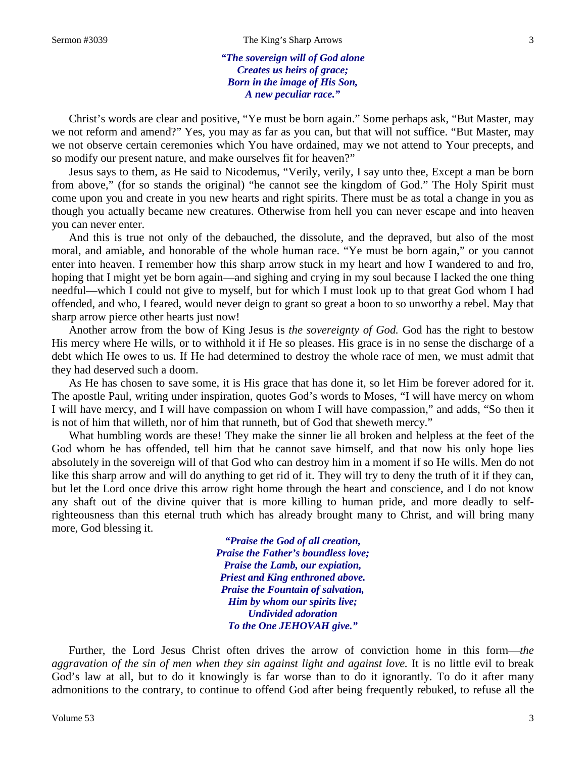*"The sovereign will of God alone Creates us heirs of grace; Born in the image of His Son, A new peculiar race."*

Christ's words are clear and positive, "Ye must be born again." Some perhaps ask, "But Master, may we not reform and amend?" Yes, you may as far as you can, but that will not suffice. "But Master, may we not observe certain ceremonies which You have ordained, may we not attend to Your precepts, and so modify our present nature, and make ourselves fit for heaven?"

Jesus says to them, as He said to Nicodemus, "Verily, verily, I say unto thee, Except a man be born from above," (for so stands the original) "he cannot see the kingdom of God." The Holy Spirit must come upon you and create in you new hearts and right spirits. There must be as total a change in you as though you actually became new creatures. Otherwise from hell you can never escape and into heaven you can never enter.

And this is true not only of the debauched, the dissolute, and the depraved, but also of the most moral, and amiable, and honorable of the whole human race. "Ye must be born again," or you cannot enter into heaven. I remember how this sharp arrow stuck in my heart and how I wandered to and fro, hoping that I might yet be born again—and sighing and crying in my soul because I lacked the one thing needful—which I could not give to myself, but for which I must look up to that great God whom I had offended, and who, I feared, would never deign to grant so great a boon to so unworthy a rebel. May that sharp arrow pierce other hearts just now!

Another arrow from the bow of King Jesus is *the sovereignty of God.* God has the right to bestow His mercy where He wills, or to withhold it if He so pleases. His grace is in no sense the discharge of a debt which He owes to us. If He had determined to destroy the whole race of men, we must admit that they had deserved such a doom.

As He has chosen to save some, it is His grace that has done it, so let Him be forever adored for it. The apostle Paul, writing under inspiration, quotes God's words to Moses, "I will have mercy on whom I will have mercy, and I will have compassion on whom I will have compassion," and adds, "So then it is not of him that willeth, nor of him that runneth, but of God that sheweth mercy."

What humbling words are these! They make the sinner lie all broken and helpless at the feet of the God whom he has offended, tell him that he cannot save himself, and that now his only hope lies absolutely in the sovereign will of that God who can destroy him in a moment if so He wills. Men do not like this sharp arrow and will do anything to get rid of it. They will try to deny the truth of it if they can, but let the Lord once drive this arrow right home through the heart and conscience, and I do not know any shaft out of the divine quiver that is more killing to human pride, and more deadly to selfrighteousness than this eternal truth which has already brought many to Christ, and will bring many more, God blessing it.

> *"Praise the God of all creation, Praise the Father's boundless love; Praise the Lamb, our expiation, Priest and King enthroned above. Praise the Fountain of salvation, Him by whom our spirits live; Undivided adoration To the One JEHOVAH give."*

Further, the Lord Jesus Christ often drives the arrow of conviction home in this form—*the aggravation of the sin of men when they sin against light and against love.* It is no little evil to break God's law at all, but to do it knowingly is far worse than to do it ignorantly. To do it after many admonitions to the contrary, to continue to offend God after being frequently rebuked, to refuse all the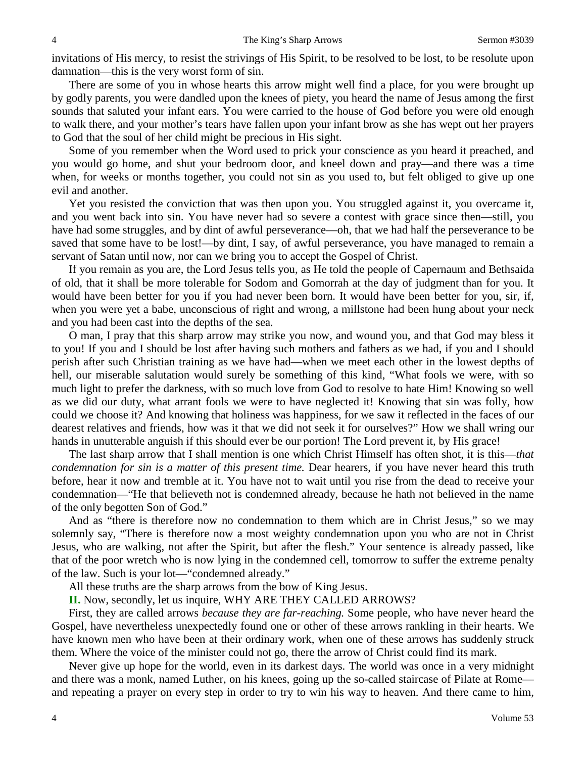invitations of His mercy, to resist the strivings of His Spirit, to be resolved to be lost, to be resolute upon damnation—this is the very worst form of sin.

There are some of you in whose hearts this arrow might well find a place, for you were brought up by godly parents, you were dandled upon the knees of piety, you heard the name of Jesus among the first sounds that saluted your infant ears. You were carried to the house of God before you were old enough to walk there, and your mother's tears have fallen upon your infant brow as she has wept out her prayers to God that the soul of her child might be precious in His sight.

Some of you remember when the Word used to prick your conscience as you heard it preached, and you would go home, and shut your bedroom door, and kneel down and pray—and there was a time when, for weeks or months together, you could not sin as you used to, but felt obliged to give up one evil and another.

Yet you resisted the conviction that was then upon you. You struggled against it, you overcame it, and you went back into sin. You have never had so severe a contest with grace since then—still, you have had some struggles, and by dint of awful perseverance—oh, that we had half the perseverance to be saved that some have to be lost!—by dint, I say, of awful perseverance, you have managed to remain a servant of Satan until now, nor can we bring you to accept the Gospel of Christ.

If you remain as you are, the Lord Jesus tells you, as He told the people of Capernaum and Bethsaida of old, that it shall be more tolerable for Sodom and Gomorrah at the day of judgment than for you. It would have been better for you if you had never been born. It would have been better for you, sir, if, when you were yet a babe, unconscious of right and wrong, a millstone had been hung about your neck and you had been cast into the depths of the sea.

O man, I pray that this sharp arrow may strike you now, and wound you, and that God may bless it to you! If you and I should be lost after having such mothers and fathers as we had, if you and I should perish after such Christian training as we have had—when we meet each other in the lowest depths of hell, our miserable salutation would surely be something of this kind, "What fools we were, with so much light to prefer the darkness, with so much love from God to resolve to hate Him! Knowing so well as we did our duty, what arrant fools we were to have neglected it! Knowing that sin was folly, how could we choose it? And knowing that holiness was happiness, for we saw it reflected in the faces of our dearest relatives and friends, how was it that we did not seek it for ourselves?" How we shall wring our hands in unutterable anguish if this should ever be our portion! The Lord prevent it, by His grace!

The last sharp arrow that I shall mention is one which Christ Himself has often shot, it is this—*that condemnation for sin is a matter of this present time.* Dear hearers, if you have never heard this truth before, hear it now and tremble at it. You have not to wait until you rise from the dead to receive your condemnation—"He that believeth not is condemned already, because he hath not believed in the name of the only begotten Son of God."

And as "there is therefore now no condemnation to them which are in Christ Jesus," so we may solemnly say, "There is therefore now a most weighty condemnation upon you who are not in Christ Jesus, who are walking, not after the Spirit, but after the flesh." Your sentence is already passed, like that of the poor wretch who is now lying in the condemned cell, tomorrow to suffer the extreme penalty of the law. Such is your lot—"condemned already."

All these truths are the sharp arrows from the bow of King Jesus.

**II.** Now, secondly, let us inquire, WHY ARE THEY CALLED ARROWS?

First, they are called arrows *because they are far-reaching.* Some people, who have never heard the Gospel, have nevertheless unexpectedly found one or other of these arrows rankling in their hearts. We have known men who have been at their ordinary work, when one of these arrows has suddenly struck them. Where the voice of the minister could not go, there the arrow of Christ could find its mark.

Never give up hope for the world, even in its darkest days. The world was once in a very midnight and there was a monk, named Luther, on his knees, going up the so-called staircase of Pilate at Rome and repeating a prayer on every step in order to try to win his way to heaven. And there came to him,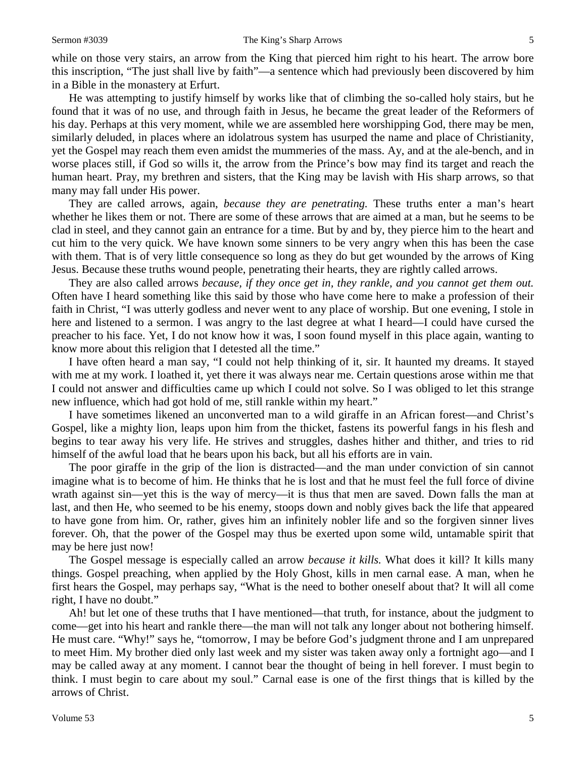while on those very stairs, an arrow from the King that pierced him right to his heart. The arrow bore this inscription, "The just shall live by faith"—a sentence which had previously been discovered by him in a Bible in the monastery at Erfurt.

He was attempting to justify himself by works like that of climbing the so-called holy stairs, but he found that it was of no use, and through faith in Jesus, he became the great leader of the Reformers of his day. Perhaps at this very moment, while we are assembled here worshipping God, there may be men, similarly deluded, in places where an idolatrous system has usurped the name and place of Christianity, yet the Gospel may reach them even amidst the mummeries of the mass. Ay, and at the ale-bench, and in worse places still, if God so wills it, the arrow from the Prince's bow may find its target and reach the human heart. Pray, my brethren and sisters, that the King may be lavish with His sharp arrows, so that many may fall under His power.

They are called arrows, again, *because they are penetrating.* These truths enter a man's heart whether he likes them or not. There are some of these arrows that are aimed at a man, but he seems to be clad in steel, and they cannot gain an entrance for a time. But by and by, they pierce him to the heart and cut him to the very quick. We have known some sinners to be very angry when this has been the case with them. That is of very little consequence so long as they do but get wounded by the arrows of King Jesus. Because these truths wound people, penetrating their hearts, they are rightly called arrows.

They are also called arrows *because, if they once get in, they rankle, and you cannot get them out.*  Often have I heard something like this said by those who have come here to make a profession of their faith in Christ, "I was utterly godless and never went to any place of worship. But one evening, I stole in here and listened to a sermon. I was angry to the last degree at what I heard—I could have cursed the preacher to his face. Yet, I do not know how it was, I soon found myself in this place again, wanting to know more about this religion that I detested all the time."

I have often heard a man say, "I could not help thinking of it, sir. It haunted my dreams. It stayed with me at my work. I loathed it, yet there it was always near me. Certain questions arose within me that I could not answer and difficulties came up which I could not solve. So I was obliged to let this strange new influence, which had got hold of me, still rankle within my heart."

I have sometimes likened an unconverted man to a wild giraffe in an African forest—and Christ's Gospel, like a mighty lion, leaps upon him from the thicket, fastens its powerful fangs in his flesh and begins to tear away his very life. He strives and struggles, dashes hither and thither, and tries to rid himself of the awful load that he bears upon his back, but all his efforts are in vain.

The poor giraffe in the grip of the lion is distracted—and the man under conviction of sin cannot imagine what is to become of him. He thinks that he is lost and that he must feel the full force of divine wrath against sin—yet this is the way of mercy—it is thus that men are saved. Down falls the man at last, and then He, who seemed to be his enemy, stoops down and nobly gives back the life that appeared to have gone from him. Or, rather, gives him an infinitely nobler life and so the forgiven sinner lives forever. Oh, that the power of the Gospel may thus be exerted upon some wild, untamable spirit that may be here just now!

The Gospel message is especially called an arrow *because it kills.* What does it kill? It kills many things. Gospel preaching, when applied by the Holy Ghost, kills in men carnal ease. A man, when he first hears the Gospel, may perhaps say, "What is the need to bother oneself about that? It will all come right, I have no doubt."

Ah! but let one of these truths that I have mentioned—that truth, for instance, about the judgment to come—get into his heart and rankle there—the man will not talk any longer about not bothering himself. He must care. "Why!" says he, "tomorrow, I may be before God's judgment throne and I am unprepared to meet Him. My brother died only last week and my sister was taken away only a fortnight ago—and I may be called away at any moment. I cannot bear the thought of being in hell forever. I must begin to think. I must begin to care about my soul." Carnal ease is one of the first things that is killed by the arrows of Christ.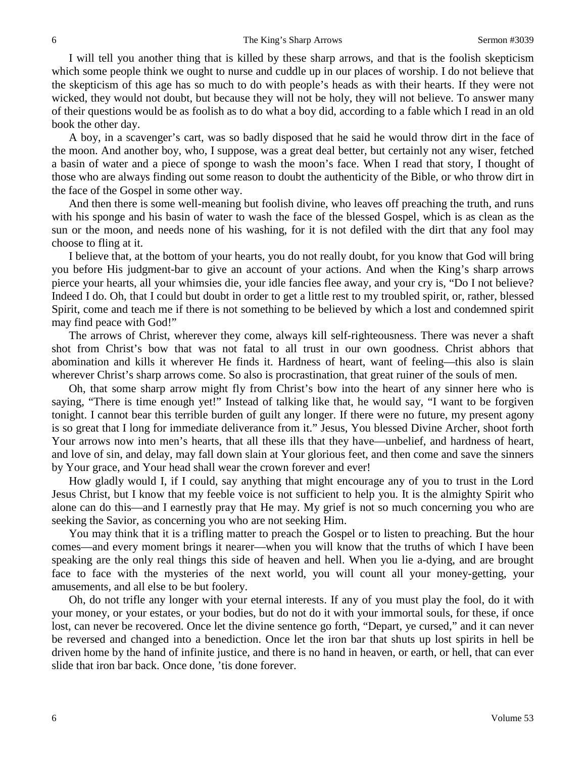I will tell you another thing that is killed by these sharp arrows, and that is the foolish skepticism which some people think we ought to nurse and cuddle up in our places of worship. I do not believe that the skepticism of this age has so much to do with people's heads as with their hearts. If they were not wicked, they would not doubt, but because they will not be holy, they will not believe. To answer many of their questions would be as foolish as to do what a boy did, according to a fable which I read in an old book the other day.

A boy, in a scavenger's cart, was so badly disposed that he said he would throw dirt in the face of the moon. And another boy, who, I suppose, was a great deal better, but certainly not any wiser, fetched a basin of water and a piece of sponge to wash the moon's face. When I read that story, I thought of those who are always finding out some reason to doubt the authenticity of the Bible, or who throw dirt in the face of the Gospel in some other way.

And then there is some well-meaning but foolish divine, who leaves off preaching the truth, and runs with his sponge and his basin of water to wash the face of the blessed Gospel, which is as clean as the sun or the moon, and needs none of his washing, for it is not defiled with the dirt that any fool may choose to fling at it.

I believe that, at the bottom of your hearts, you do not really doubt, for you know that God will bring you before His judgment-bar to give an account of your actions. And when the King's sharp arrows pierce your hearts, all your whimsies die, your idle fancies flee away, and your cry is, "Do I not believe? Indeed I do. Oh, that I could but doubt in order to get a little rest to my troubled spirit, or, rather, blessed Spirit, come and teach me if there is not something to be believed by which a lost and condemned spirit may find peace with God!"

The arrows of Christ, wherever they come, always kill self-righteousness. There was never a shaft shot from Christ's bow that was not fatal to all trust in our own goodness. Christ abhors that abomination and kills it wherever He finds it. Hardness of heart, want of feeling—this also is slain wherever Christ's sharp arrows come. So also is procrastination, that great ruiner of the souls of men.

Oh, that some sharp arrow might fly from Christ's bow into the heart of any sinner here who is saying, "There is time enough yet!" Instead of talking like that, he would say, "I want to be forgiven tonight. I cannot bear this terrible burden of guilt any longer. If there were no future, my present agony is so great that I long for immediate deliverance from it." Jesus, You blessed Divine Archer, shoot forth Your arrows now into men's hearts, that all these ills that they have—unbelief, and hardness of heart, and love of sin, and delay, may fall down slain at Your glorious feet, and then come and save the sinners by Your grace, and Your head shall wear the crown forever and ever!

How gladly would I, if I could, say anything that might encourage any of you to trust in the Lord Jesus Christ, but I know that my feeble voice is not sufficient to help you. It is the almighty Spirit who alone can do this—and I earnestly pray that He may. My grief is not so much concerning you who are seeking the Savior, as concerning you who are not seeking Him.

You may think that it is a trifling matter to preach the Gospel or to listen to preaching. But the hour comes—and every moment brings it nearer—when you will know that the truths of which I have been speaking are the only real things this side of heaven and hell. When you lie a-dying, and are brought face to face with the mysteries of the next world, you will count all your money-getting, your amusements, and all else to be but foolery.

Oh, do not trifle any longer with your eternal interests. If any of you must play the fool, do it with your money, or your estates, or your bodies, but do not do it with your immortal souls, for these, if once lost, can never be recovered. Once let the divine sentence go forth, "Depart, ye cursed," and it can never be reversed and changed into a benediction. Once let the iron bar that shuts up lost spirits in hell be driven home by the hand of infinite justice, and there is no hand in heaven, or earth, or hell, that can ever slide that iron bar back. Once done, 'tis done forever.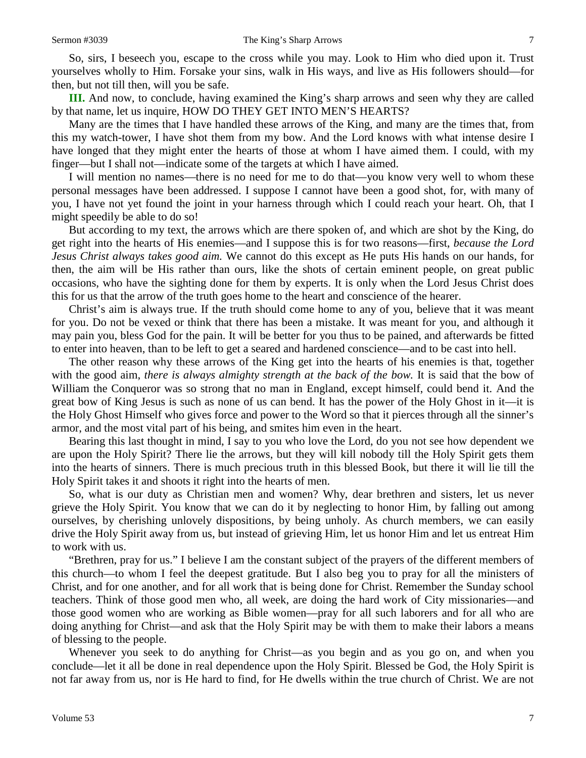So, sirs, I beseech you, escape to the cross while you may. Look to Him who died upon it. Trust yourselves wholly to Him. Forsake your sins, walk in His ways, and live as His followers should—for then, but not till then, will you be safe.

**III.** And now, to conclude, having examined the King's sharp arrows and seen why they are called by that name, let us inquire, HOW DO THEY GET INTO MEN'S HEARTS?

Many are the times that I have handled these arrows of the King, and many are the times that, from this my watch-tower, I have shot them from my bow. And the Lord knows with what intense desire I have longed that they might enter the hearts of those at whom I have aimed them. I could, with my finger—but I shall not—indicate some of the targets at which I have aimed.

I will mention no names—there is no need for me to do that—you know very well to whom these personal messages have been addressed. I suppose I cannot have been a good shot, for, with many of you, I have not yet found the joint in your harness through which I could reach your heart. Oh, that I might speedily be able to do so!

But according to my text, the arrows which are there spoken of, and which are shot by the King, do get right into the hearts of His enemies—and I suppose this is for two reasons—first, *because the Lord Jesus Christ always takes good aim.* We cannot do this except as He puts His hands on our hands, for then, the aim will be His rather than ours, like the shots of certain eminent people, on great public occasions, who have the sighting done for them by experts. It is only when the Lord Jesus Christ does this for us that the arrow of the truth goes home to the heart and conscience of the hearer.

Christ's aim is always true. If the truth should come home to any of you, believe that it was meant for you. Do not be vexed or think that there has been a mistake. It was meant for you, and although it may pain you, bless God for the pain. It will be better for you thus to be pained, and afterwards be fitted to enter into heaven, than to be left to get a seared and hardened conscience—and to be cast into hell.

The other reason why these arrows of the King get into the hearts of his enemies is that, together with the good aim, *there is always almighty strength at the back of the bow.* It is said that the bow of William the Conqueror was so strong that no man in England, except himself, could bend it. And the great bow of King Jesus is such as none of us can bend. It has the power of the Holy Ghost in it—it is the Holy Ghost Himself who gives force and power to the Word so that it pierces through all the sinner's armor, and the most vital part of his being, and smites him even in the heart.

Bearing this last thought in mind, I say to you who love the Lord, do you not see how dependent we are upon the Holy Spirit? There lie the arrows, but they will kill nobody till the Holy Spirit gets them into the hearts of sinners. There is much precious truth in this blessed Book, but there it will lie till the Holy Spirit takes it and shoots it right into the hearts of men.

So, what is our duty as Christian men and women? Why, dear brethren and sisters, let us never grieve the Holy Spirit. You know that we can do it by neglecting to honor Him, by falling out among ourselves, by cherishing unlovely dispositions, by being unholy. As church members, we can easily drive the Holy Spirit away from us, but instead of grieving Him, let us honor Him and let us entreat Him to work with us.

"Brethren, pray for us." I believe I am the constant subject of the prayers of the different members of this church—to whom I feel the deepest gratitude. But I also beg you to pray for all the ministers of Christ, and for one another, and for all work that is being done for Christ. Remember the Sunday school teachers. Think of those good men who, all week, are doing the hard work of City missionaries—and those good women who are working as Bible women—pray for all such laborers and for all who are doing anything for Christ—and ask that the Holy Spirit may be with them to make their labors a means of blessing to the people.

Whenever you seek to do anything for Christ—as you begin and as you go on, and when you conclude—let it all be done in real dependence upon the Holy Spirit. Blessed be God, the Holy Spirit is not far away from us, nor is He hard to find, for He dwells within the true church of Christ. We are not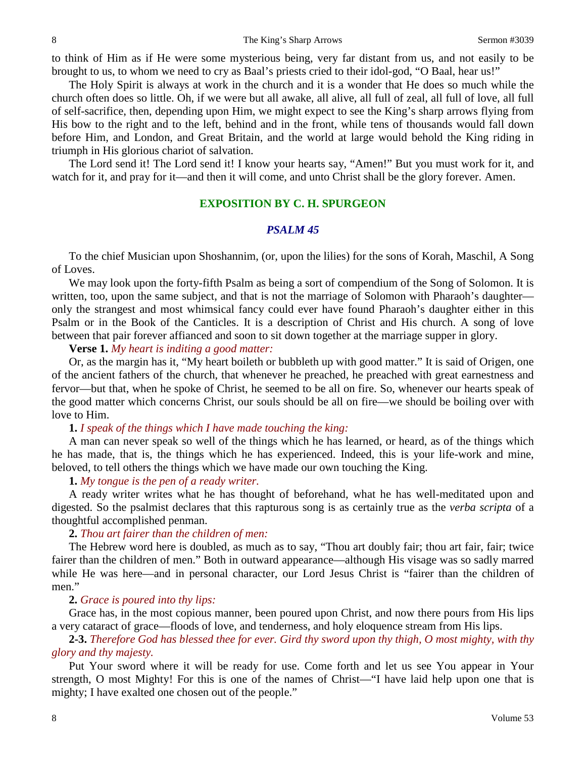to think of Him as if He were some mysterious being, very far distant from us, and not easily to be brought to us, to whom we need to cry as Baal's priests cried to their idol-god, "O Baal, hear us!"

The Holy Spirit is always at work in the church and it is a wonder that He does so much while the church often does so little. Oh, if we were but all awake, all alive, all full of zeal, all full of love, all full of self-sacrifice, then, depending upon Him, we might expect to see the King's sharp arrows flying from His bow to the right and to the left, behind and in the front, while tens of thousands would fall down before Him, and London, and Great Britain, and the world at large would behold the King riding in triumph in His glorious chariot of salvation.

The Lord send it! The Lord send it! I know your hearts say, "Amen!" But you must work for it, and watch for it, and pray for it—and then it will come, and unto Christ shall be the glory forever. Amen.

## **EXPOSITION BY C. H. SPURGEON**

#### *PSALM 45*

To the chief Musician upon Shoshannim, (or, upon the lilies) for the sons of Korah, Maschil, A Song of Loves.

We may look upon the forty-fifth Psalm as being a sort of compendium of the Song of Solomon. It is written, too, upon the same subject, and that is not the marriage of Solomon with Pharaoh's daughter only the strangest and most whimsical fancy could ever have found Pharaoh's daughter either in this Psalm or in the Book of the Canticles. It is a description of Christ and His church. A song of love between that pair forever affianced and soon to sit down together at the marriage supper in glory.

**Verse 1.** *My heart is inditing a good matter:*

Or, as the margin has it, "My heart boileth or bubbleth up with good matter." It is said of Origen, one of the ancient fathers of the church, that whenever he preached, he preached with great earnestness and fervor—but that, when he spoke of Christ, he seemed to be all on fire. So, whenever our hearts speak of the good matter which concerns Christ, our souls should be all on fire—we should be boiling over with love to Him.

# **1.** *I speak of the things which I have made touching the king:*

A man can never speak so well of the things which he has learned, or heard, as of the things which he has made, that is, the things which he has experienced. Indeed, this is your life-work and mine, beloved, to tell others the things which we have made our own touching the King.

**1.** *My tongue is the pen of a ready writer.*

A ready writer writes what he has thought of beforehand, what he has well-meditated upon and digested. So the psalmist declares that this rapturous song is as certainly true as the *verba scripta* of a thoughtful accomplished penman.

## **2.** *Thou art fairer than the children of men:*

The Hebrew word here is doubled, as much as to say, "Thou art doubly fair; thou art fair, fair; twice fairer than the children of men." Both in outward appearance—although His visage was so sadly marred while He was here—and in personal character, our Lord Jesus Christ is "fairer than the children of men."

# **2.** *Grace is poured into thy lips:*

Grace has, in the most copious manner, been poured upon Christ, and now there pours from His lips a very cataract of grace—floods of love, and tenderness, and holy eloquence stream from His lips.

**2-3.** *Therefore God has blessed thee for ever. Gird thy sword upon thy thigh, O most mighty, with thy glory and thy majesty.*

Put Your sword where it will be ready for use. Come forth and let us see You appear in Your strength, O most Mighty! For this is one of the names of Christ—"I have laid help upon one that is mighty; I have exalted one chosen out of the people."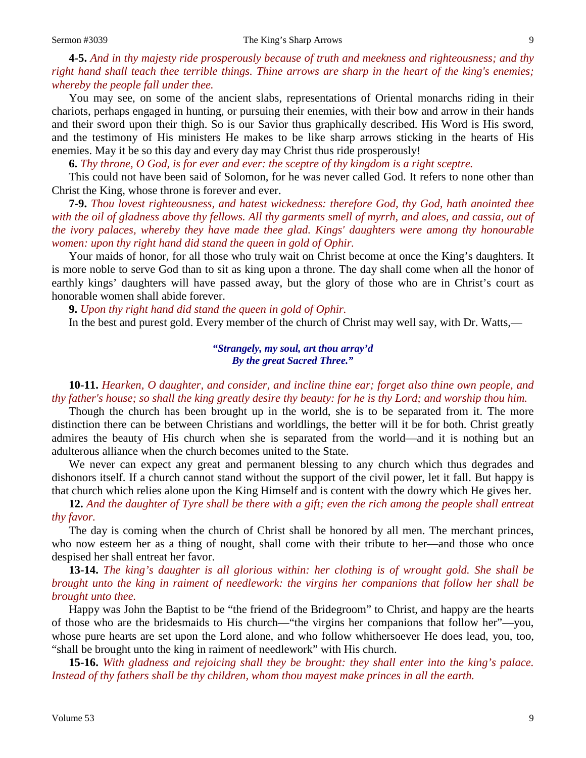**4-5.** *And in thy majesty ride prosperously because of truth and meekness and righteousness; and thy right hand shall teach thee terrible things. Thine arrows are sharp in the heart of the king's enemies; whereby the people fall under thee.*

You may see, on some of the ancient slabs, representations of Oriental monarchs riding in their chariots, perhaps engaged in hunting, or pursuing their enemies, with their bow and arrow in their hands and their sword upon their thigh. So is our Savior thus graphically described. His Word is His sword, and the testimony of His ministers He makes to be like sharp arrows sticking in the hearts of His enemies. May it be so this day and every day may Christ thus ride prosperously!

**6.** *Thy throne, O God, is for ever and ever: the sceptre of thy kingdom is a right sceptre.*

This could not have been said of Solomon, for he was never called God. It refers to none other than Christ the King, whose throne is forever and ever.

**7-9.** *Thou lovest righteousness, and hatest wickedness: therefore God, thy God, hath anointed thee with the oil of gladness above thy fellows. All thy garments smell of myrrh, and aloes, and cassia, out of the ivory palaces, whereby they have made thee glad. Kings' daughters were among thy honourable women: upon thy right hand did stand the queen in gold of Ophir.*

Your maids of honor, for all those who truly wait on Christ become at once the King's daughters. It is more noble to serve God than to sit as king upon a throne. The day shall come when all the honor of earthly kings' daughters will have passed away, but the glory of those who are in Christ's court as honorable women shall abide forever.

**9.** *Upon thy right hand did stand the queen in gold of Ophir.*

In the best and purest gold. Every member of the church of Christ may well say, with Dr. Watts,—

# *"Strangely, my soul, art thou array'd By the great Sacred Three."*

**10-11.** *Hearken, O daughter, and consider, and incline thine ear; forget also thine own people, and thy father's house; so shall the king greatly desire thy beauty: for he is thy Lord; and worship thou him.*

Though the church has been brought up in the world, she is to be separated from it. The more distinction there can be between Christians and worldlings, the better will it be for both. Christ greatly admires the beauty of His church when she is separated from the world—and it is nothing but an adulterous alliance when the church becomes united to the State.

We never can expect any great and permanent blessing to any church which thus degrades and dishonors itself. If a church cannot stand without the support of the civil power, let it fall. But happy is that church which relies alone upon the King Himself and is content with the dowry which He gives her.

**12.** *And the daughter of Tyre shall be there with a gift; even the rich among the people shall entreat thy favor.*

The day is coming when the church of Christ shall be honored by all men. The merchant princes, who now esteem her as a thing of nought, shall come with their tribute to her—and those who once despised her shall entreat her favor.

**13-14.** *The king's daughter is all glorious within: her clothing is of wrought gold. She shall be brought unto the king in raiment of needlework: the virgins her companions that follow her shall be brought unto thee.*

Happy was John the Baptist to be "the friend of the Bridegroom" to Christ, and happy are the hearts of those who are the bridesmaids to His church—"the virgins her companions that follow her"—you, whose pure hearts are set upon the Lord alone, and who follow whithersoever He does lead, you, too, "shall be brought unto the king in raiment of needlework" with His church.

**15-16.** *With gladness and rejoicing shall they be brought: they shall enter into the king's palace. Instead of thy fathers shall be thy children, whom thou mayest make princes in all the earth.*